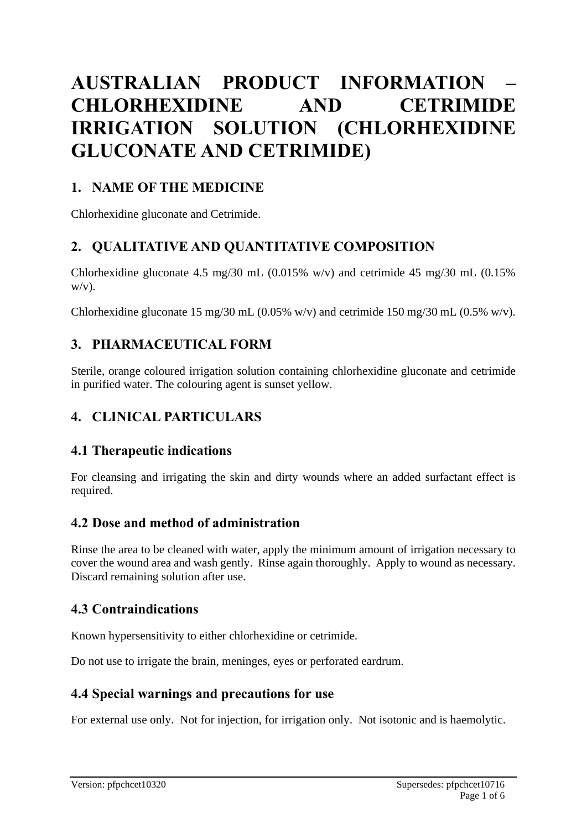# **AUSTRALIAN PRODUCT INFORMATION – CHLORHEXIDINE AND CETRIMIDE IRRIGATION SOLUTION (CHLORHEXIDINE GLUCONATE AND CETRIMIDE)**

# **1. NAME OF THE MEDICINE**

Chlorhexidine gluconate and Cetrimide.

# **2. QUALITATIVE AND QUANTITATIVE COMPOSITION**

Chlorhexidine gluconate 4.5 mg/30 mL (0.015% w/v) and cetrimide 45 mg/30 mL (0.15%  $W/V$ ).

Chlorhexidine gluconate 15 mg/30 mL (0.05% w/v) and cetrimide 150 mg/30 mL (0.5% w/v).

# **3. PHARMACEUTICAL FORM**

Sterile, orange coloured irrigation solution containing chlorhexidine gluconate and cetrimide in purified water. The colouring agent is sunset yellow.

# **4. CLINICAL PARTICULARS**

### **4.1 Therapeutic indications**

For cleansing and irrigating the skin and dirty wounds where an added surfactant effect is required.

### **4.2 Dose and method of administration**

Rinse the area to be cleaned with water, apply the minimum amount of irrigation necessary to cover the wound area and wash gently. Rinse again thoroughly. Apply to wound as necessary. Discard remaining solution after use.

# **4.3 Contraindications**

Known hypersensitivity to either chlorhexidine or cetrimide.

Do not use to irrigate the brain, meninges, eyes or perforated eardrum.

### **4.4 Special warnings and precautions for use**

For external use only. Not for injection, for irrigation only. Not isotonic and is haemolytic.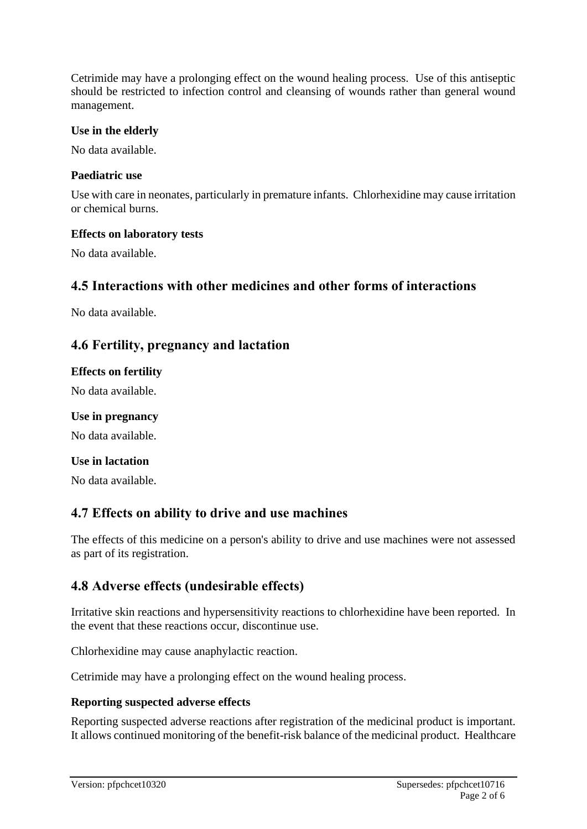Cetrimide may have a prolonging effect on the wound healing process. Use of this antiseptic should be restricted to infection control and cleansing of wounds rather than general wound management.

#### **Use in the elderly**

No data available.

#### **Paediatric use**

Use with care in neonates, particularly in premature infants. Chlorhexidine may cause irritation or chemical burns.

#### **Effects on laboratory tests**

No data available.

#### **4.5 Interactions with other medicines and other forms of interactions**

No data available.

#### **4.6 Fertility, pregnancy and lactation**

#### **Effects on fertility**

No data available.

#### **Use in pregnancy**

No data available.

#### **Use in lactation**

No data available.

### **4.7 Effects on ability to drive and use machines**

The effects of this medicine on a person's ability to drive and use machines were not assessed as part of its registration.

### **4.8 Adverse effects (undesirable effects)**

Irritative skin reactions and hypersensitivity reactions to chlorhexidine have been reported. In the event that these reactions occur, discontinue use.

Chlorhexidine may cause anaphylactic reaction.

Cetrimide may have a prolonging effect on the wound healing process.

#### **Reporting suspected adverse effects**

Reporting suspected adverse reactions after registration of the medicinal product is important. It allows continued monitoring of the benefit-risk balance of the medicinal product. Healthcare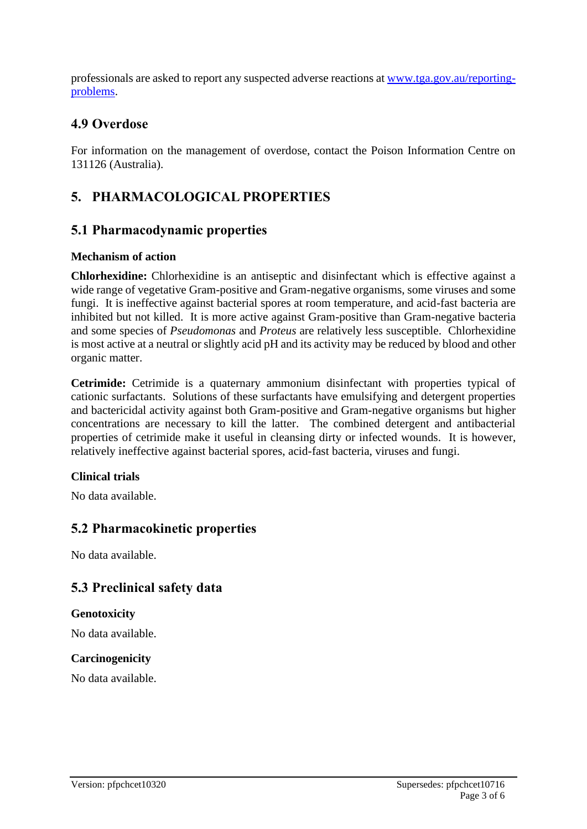professionals are asked to report any suspected adverse reactions at [www.tga.gov.au/reporting](http://www.tga.gov.au/reporting-problems)[problems.](http://www.tga.gov.au/reporting-problems)

### **4.9 Overdose**

For information on the management of overdose, contact the Poison Information Centre on 131126 (Australia).

# **5. PHARMACOLOGICAL PROPERTIES**

### **5.1 Pharmacodynamic properties**

#### **Mechanism of action**

**Chlorhexidine:** Chlorhexidine is an antiseptic and disinfectant which is effective against a wide range of vegetative Gram-positive and Gram-negative organisms, some viruses and some fungi. It is ineffective against bacterial spores at room temperature, and acid-fast bacteria are inhibited but not killed. It is more active against Gram-positive than Gram-negative bacteria and some species of *Pseudomonas* and *Proteus* are relatively less susceptible. Chlorhexidine is most active at a neutral or slightly acid pH and its activity may be reduced by blood and other organic matter.

**Cetrimide:** Cetrimide is a quaternary ammonium disinfectant with properties typical of cationic surfactants. Solutions of these surfactants have emulsifying and detergent properties and bactericidal activity against both Gram-positive and Gram-negative organisms but higher concentrations are necessary to kill the latter. The combined detergent and antibacterial properties of cetrimide make it useful in cleansing dirty or infected wounds. It is however, relatively ineffective against bacterial spores, acid-fast bacteria, viruses and fungi.

#### **Clinical trials**

No data available.

### **5.2 Pharmacokinetic properties**

No data available.

# **5.3 Preclinical safety data**

#### **Genotoxicity**

No data available.

#### **Carcinogenicity**

No data available.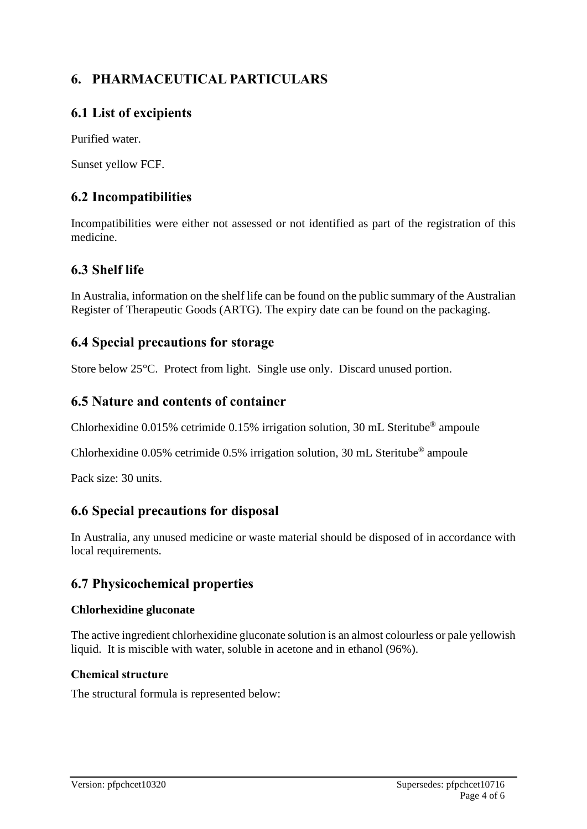# **6. PHARMACEUTICAL PARTICULARS**

# **6.1 List of excipients**

Purified water.

Sunset yellow FCF.

# **6.2 Incompatibilities**

Incompatibilities were either not assessed or not identified as part of the registration of this medicine.

# **6.3 Shelf life**

In Australia, information on the shelf life can be found on the public summary of the Australian Register of Therapeutic Goods (ARTG). The expiry date can be found on the packaging.

# **6.4 Special precautions for storage**

Store below 25°C. Protect from light. Single use only. Discard unused portion.

# **6.5 Nature and contents of container**

Chlorhexidine 0.015% cetrimide 0.15% irrigation solution, 30 mL Steritube® ampoule

Chlorhexidine  $0.05\%$  cetrimide 0.5% irrigation solution, 30 mL Steritube<sup>®</sup> ampoule

Pack size: 30 units.

# **6.6 Special precautions for disposal**

In Australia, any unused medicine or waste material should be disposed of in accordance with local requirements.

# **6.7 Physicochemical properties**

#### **Chlorhexidine gluconate**

The active ingredient chlorhexidine gluconate solution is an almost colourless or pale yellowish liquid. It is miscible with water, soluble in acetone and in ethanol (96%).

#### **Chemical structure**

The structural formula is represented below: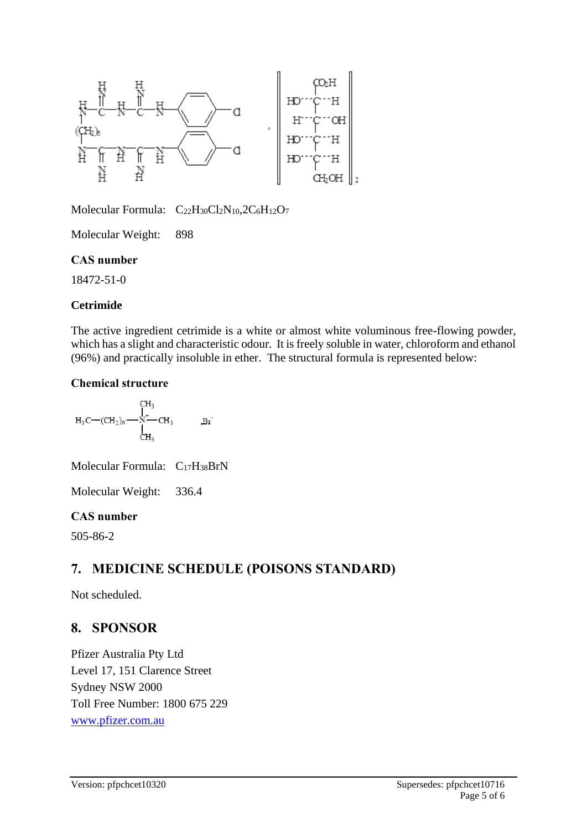

Molecular Formula:  $C_{22}H_{30}Cl_2N_{10}$ ,  $2C_6H_{12}O_7$ 

Molecular Weight: 898

#### **CAS number**

18472-51-0

#### **Cetrimide**

The active ingredient cetrimide is a white or almost white voluminous free-flowing powder, which has a slight and characteristic odour. It is freely soluble in water, chloroform and ethanol (96%) and practically insoluble in ether. The structural formula is represented below:

#### **Chemical structure**

$$
H_3C \text{---} (CH_2)_n \text{---} \overset{\text{CH}_3}{\underset{\text{CH}_3}{\prod}} CH_3 \hspace{11mm}\text{---} \text{Br}
$$

Molecular Formula: C17H38BrN

Molecular Weight: 336.4

#### **CAS number**

505-86-2

# **7. MEDICINE SCHEDULE (POISONS STANDARD)**

Not scheduled.

# **8. SPONSOR**

Pfizer Australia Pty Ltd Level 17, 151 Clarence Street Sydney NSW 2000 Toll Free Number: 1800 675 229 [www.pfizer.com.au](http://www.pfizer.com.au/)